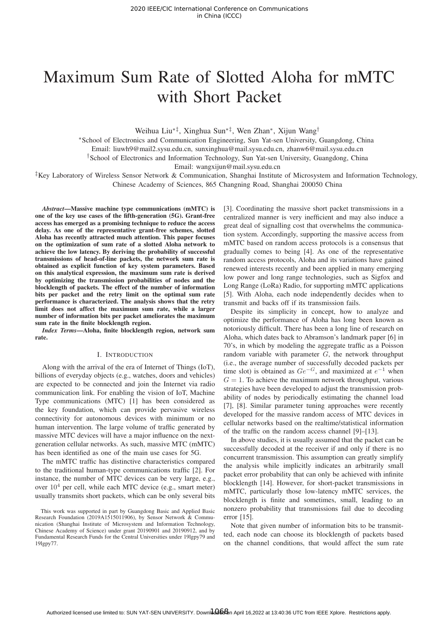# Maximum Sum Rate of Slotted Aloha for mMTC with Short Packet

Weihua Liu∗‡, Xinghua Sun∗‡, Wen Zhan∗, Xijun Wang†

∗School of Electronics and Communication Engineering, Sun Yat-sen University, Guangdong, China

Email: liuwh9@mail2.sysu.edu.cn, sunxinghua@mail.sysu.edu.cn, zhanw6@mail.sysu.edu.cn

†School of Electronics and Information Technology, Sun Yat-sen University, Guangdong, China

Email: wangxijun@mail.sysu.edu.cn

‡Key Laboratory of Wireless Sensor Network & Communication, Shanghai Institute of Microsystem and Information Technology, Chinese Academy of Sciences, 865 Changning Road, Shanghai 200050 China

*Abstract*—Massive machine type communications (mMTC) is one of the key use cases of the fifth-generation (5G). Grant-free access has emerged as a promising technique to reduce the access delay. As one of the representative grant-free schemes, slotted Aloha has recently attracted much attention. This paper focuses on the optimization of sum rate of a slotted Aloha network to achieve the low latency. By deriving the probability of successful transmissions of head-of-line packets, the network sum rate is obtained as explicit function of key system parameters. Based on this analytical expression, the maximum sum rate is derived by optimizing the transmission probabilities of nodes and the blocklength of packets. The effect of the number of information bits per packet and the retry limit on the optimal sum rate performance is characterized. The analysis shows that the retry limit does not affect the maximum sum rate, while a larger number of information bits per packet ameliorates the maximum sum rate in the finite blocklength region.

*Index Terms*—Aloha, finite blocklength region, network sum rate.

## I. INTRODUCTION

Along with the arrival of the era of Internet of Things (IoT), billions of everyday objects (e.g., watches, doors and vehicles) are expected to be connected and join the Internet via radio communication link. For enabling the vision of IoT, Machine Type communications (MTC) [1] has been considered as the key foundation, which can provide pervasive wireless connectivity for autonomous devices with minimum or no human intervention. The large volume of traffic generated by massive MTC devices will have a major influence on the nextgeneration cellular networks. As such, massive MTC (mMTC) has been identified as one of the main use cases for 5G.

The mMTC traffic has distinctive characteristics compared to the traditional human-type communications traffic [2]. For instance, the number of MTC devices can be very large, e.g., over  $10^4$  per cell, while each MTC device (e.g., smart meter) usually transmits short packets, which can be only several bits [3]. Coordinating the massive short packet transmissions in a centralized manner is very inefficient and may also induce a great deal of signalling cost that overwhelms the communication system. Accordingly, supporting the massive access from mMTC based on random access protocols is a consensus that gradually comes to being [4]. As one of the representative random access protocols, Aloha and its variations have gained renewed interests recently and been applied in many emerging low power and long range technologies, such as Sigfox and Long Range (LoRa) Radio, for supporting mMTC applications [5]. With Aloha, each node independently decides when to transmit and backs off if its transmission fails.

Despite its simplicity in concept, how to analyze and optimize the performance of Aloha has long been known as notoriously difficult. There has been a long line of research on Aloha, which dates back to Abramson's landmark paper [6] in 70's, in which by modeling the aggregate traffic as a Poisson random variable with parameter  $G$ , the network throughput (i.e., the average number of successfully decoded packets per time slot) is obtained as  $Ge^{-G}$ , and maximized at  $e^{-1}$  when  $G = 1$ . To achieve the maximum network throughput, various strategies have been developed to adjust the transmission probability of nodes by periodically estimating the channel load [7], [8]. Similar parameter tuning approaches were recently developed for the massive random access of MTC devices in cellular networks based on the realtime/statistical information of the traffic on the random access channel [9]–[13].

In above studies, it is usually assumed that the packet can be successfully decoded at the receiver if and only if there is no concurrent transmission. This assumption can greatly simplify the analysis while implicitly indicates an arbitrarily small packet error probability that can only be achieved with infinite blocklength [14]. However, for short-packet transmissions in mMTC, particularly those low-latency mMTC services, the blocklength is finite and sometimes, small, leading to an nonzero probability that transmissions fail due to decoding error [15].

Note that given number of information bits to be transmitted, each node can choose its blocklength of packets based on the channel conditions, that would affect the sum rate

This work was supported in part by Guangdong Basic and Applied Basic Research Foundation (2019A1515011906), by Sensor Network & Communication (Shanghai Institute of Microsystem and Information Technology, Chinese Academy of Science) under grant 20190901 and 20190912, and by Fundamental Research Funds for the Central Universities under 19lgpy79 and 19lgpy77.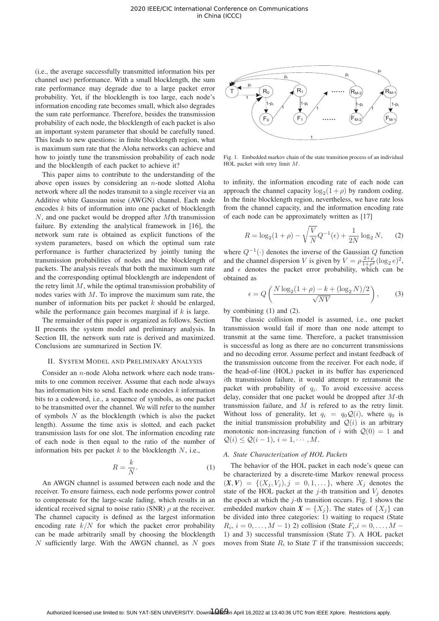(i.e., the average successfully transmitted information bits per channel use) performance. With a small blocklength, the sum rate performance may degrade due to a large packet error probability. Yet, if the blocklength is too large, each node's information encoding rate becomes small, which also degrades the sum rate performance. Therefore, besides the transmission probability of each node, the blocklength of each packet is also an important system parameter that should be carefully tuned. This leads to new questions: in finite blocklength region, what is maximum sum rate that the Aloha networks can achieve and how to jointly tune the transmission probability of each node and the blocklength of each packet to achieve it?

This paper aims to contribute to the understanding of the above open issues by considering an  $n$ -node slotted Aloha network where all the nodes transmit to a single receiver via an Additive white Gaussian noise (AWGN) channel. Each node encodes k bits of information into one packet of blocklength N, and one packet would be dropped after Mth transmission failure. By extending the analytical framework in [16], the network sum rate is obtained as explicit functions of the system parameters, based on which the optimal sum rate performance is further characterized by jointly tuning the transmission probabilities of nodes and the blocklength of packets. The analysis reveals that both the maximum sum rate and the corresponding optimal blocklength are independent of the retry limit  $M$ , while the optimal transmission probability of nodes varies with M. To improve the maximum sum rate, the number of information bits per packet  $k$  should be enlarged, while the performance gain becomes marginal if  $k$  is large.

The remainder of this paper is organized as follows. Section II presents the system model and preliminary analysis. In Section III, the network sum rate is derived and maximized. Conclusions are summarized in Section IV.

## II. SYSTEM MODEL AND PRELIMINARY ANALYSIS

Consider an n-node Aloha network where each node transmits to one common receiver. Assume that each node always has information bits to send. Each node encodes  $k$  information bits to a codeword, i.e., a sequence of symbols, as one packet to be transmitted over the channel. We will refer to the number of symbols  $N$  as the blocklength (which is also the packet length). Assume the time axis is slotted, and each packet transmission lasts for one slot. The information encoding rate of each node is then equal to the ratio of the number of information bits per packet  $k$  to the blocklength  $N$ , i.e.,

$$
R = \frac{k}{N}.\tag{1}
$$

An AWGN channel is assumed between each node and the receiver. To ensure fairness, each node performs power control to compensate for the large-scale fading, which results in an identical received signal to noise ratio (SNR)  $\rho$  at the receiver. The channel capacity is defined as the largest information encoding rate  $k/N$  for which the packet error probability can be made arbitrarily small by choosing the blocklength  $N$  sufficiently large. With the AWGN channel, as  $N$  goes



Fig. 1. Embedded markov chain of the state transition process of an individual HOL packet with retry limit M.

to infinity, the information encoding rate of each node can approach the channel capacity  $\log_2(1 + \rho)$  by random coding. In the finite blocklength region, nevertheless, we have rate loss from the channel capacity, and the information encoding rate of each node can be approximately written as [17]

$$
R = \log_2(1+\rho) - \sqrt{\frac{V}{N}}Q^{-1}(\epsilon) + \frac{1}{2N}\log_2 N,
$$
 (2)

where  $Q^{-1}(\cdot)$  denotes the inverse of the Gaussian Q function and the channel dispersion V is given by  $V = \rho \frac{2+\rho^2}{1+\rho^2} (\log_2 e)^2$ , and  $\epsilon$  denotes the packet error probability, which can be obtained as

$$
\epsilon = Q\left(\frac{N\log_2(1+\rho) - k + (\log_2 N)/2}{\sqrt{NV}}\right),\tag{3}
$$

by combining (1) and (2).

The classic collision model is assumed, i.e., one packet transmission would fail if more than one node attempt to transmit at the same time. Therefore, a packet transmission is successful as long as there are no concurrent transmissions and no decoding error. Assume perfect and instant feedback of the transmission outcome from the receiver. For each node, if the head-of-line (HOL) packet in its buffer has experienced ith transmission failure, it would attempt to retransmit the packet with probability of  $q_i$ . To avoid excessive access delay, consider that one packet would be dropped after  $M$ -th transmission failure, and  $M$  is refered to as the retry limit. Without loss of generality, let  $q_i = q_0 \mathcal{Q}(i)$ , where  $q_0$  is the initial transmission probability and  $Q(i)$  is an arbitrary monotonic non-increasing function of i with  $Q(0) = 1$  and  $\mathcal{Q}(i) \leq \mathcal{Q}(i-1), i = 1, \cdots, M.$ 

# *A. State Characterization of HOL Packets*

The behavior of the HOL packet in each node's queue can be characterized by a discrete-time Markov renewal process  $(X, V) = \{ (X_j, V_j), j = 0, 1, \ldots \},$  where  $X_j$  denotes the state of the HOL packet at the j-th transition and  $V_i$  denotes the epoch at which the  $j$ -th transition occurs. Fig. 1 shows the embedded markov chain  $X = \{X_i\}$ . The states of  $\{X_i\}$  can be divided into three categories: 1) waiting to request (State  $R_i$ ,  $i = 0, ..., M - 1$ ) 2) collision (State  $F_i$ ,  $i = 0, ..., M - 1$ 1) and 3) successful transmission (State  $T$ ). A HOL packet moves from State  $R_i$  to State T if the transmission succeeds;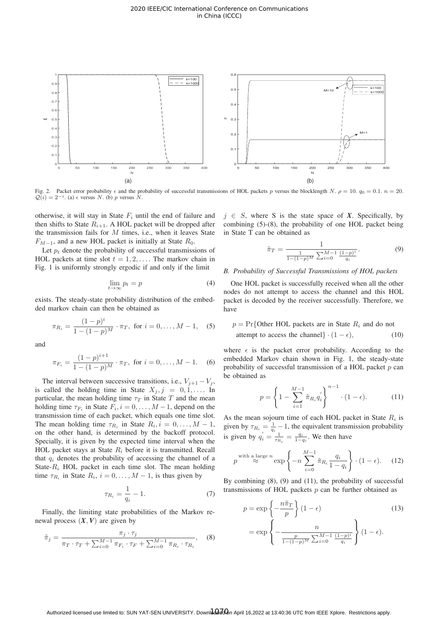

Fig. 2. Packet error probability  $\epsilon$  and the probability of successful transmissions of HOL packets p versus the blocklength N.  $\rho = 10$ .  $q_0 = 0.1$ .  $n = 20$ .  $\mathcal{Q}(i) = 2^{-i}$ . (a)  $\epsilon$  versus N. (b) p versus N.

otherwise, it will stay in State  $F_i$  until the end of failure and then shifts to State  $R_{i+1}$ . A HOL packet will be dropped after the transmission fails for  $M$  times, i.e., when it leaves State  $F_{M-1}$ , and a new HOL packet is initially at State  $R_0$ .

Let  $p_t$  denote the probability of successful transmissions of HOL packets at time slot  $t = 1, 2, \ldots$ . The markov chain in Fig. 1 is uniformly strongly ergodic if and only if the limit

$$
\lim_{t \to \infty} p_t = p \tag{4}
$$

exists. The steady-state probability distribution of the embedded markov chain can then be obtained as

$$
\pi_{R_i} = \frac{(1-p)^i}{1 - (1-p)^M} \cdot \pi_T, \text{ for } i = 0, ..., M - 1, \quad (5)
$$

and

$$
\pi_{F_i} = \frac{(1-p)^{i+1}}{1 - (1-p)^M} \cdot \pi_T, \text{ for } i = 0, \dots, M-1.
$$
 (6)

The interval between successive transitions, i.e.,  $V_{j+1} - V_j$ , is called the holding time in State  $X_j$ ,  $j = 0, 1, \ldots$  In particular, the mean holding time  $\tau_T$  in State T and the mean holding time  $\tau_{F_i}$  in State  $F_i$ ,  $i = 0, \ldots, M-1$ , depend on the transmission time of each packet, which equals one time slot. The mean holding time  $\tau_{R_i}$  in State  $R_i$ ,  $i = 0, \ldots, M - 1$ , on the other hand, is determined by the backoff protocol. Specially, it is given by the expected time interval when the HOL packet stays at State  $R_i$  before it is transmitted. Recall that  $q_i$  denotes the probability of accessing the channel of a State- $R_i$  HOL packet in each time slot. The mean holding time  $\tau_{R_i}$  in State  $R_i$ ,  $i = 0, \ldots, M - 1$ , is thus given by

$$
\tau_{R_i} = \frac{1}{q_i} - 1. \tag{7}
$$

Finally, the limiting state probabilities of the Markov renewal process  $(X, V)$  are given by

$$
\tilde{\pi}_j = \frac{\pi_j \cdot \tau_j}{\pi_T \cdot \tau_T + \sum_{i=0}^{M-1} \pi_{F_i} \cdot \tau_F + \sum_{i=0}^{M-1} \pi_{R_i} \cdot \tau_{R_i}},
$$
 (8)

 $j \in S$ , where S is the state space of *X*. Specifically, by combining (5)-(8), the probability of one HOL packet being in State T can be obtained as

$$
\tilde{\pi}_T = \frac{1}{\frac{1}{1 - (1 - p)^M} \sum_{i=0}^{M-1} \frac{(1 - p)^i}{q_i}}.
$$
\n(9)

# *B. Probability of Successful Transmissions of HOL packets*

One HOL packet is successfully received when all the other nodes do not attempt to access the channel and this HOL packet is decoded by the receiver successfully. Therefore, we have

$$
p = \Pr{\text{Other HOL packets are in State } R_i \text{ and do not attempt to access the channel}\} \cdot (1 - \epsilon), \tag{10}
$$

where  $\epsilon$  is the packet error probability. According to the embedded Markov chain shown in Fig. 1, the steady-state probability of successful transmission of a HOL packet  $p$  can be obtained as

$$
p = \left\{ 1 - \sum_{i=1}^{M-1} \tilde{\pi}_{R_i} q_i' \right\}^{n-1} \cdot (1 - \epsilon). \tag{11}
$$

As the mean sojourn time of each HOL packet in State  $R_i$  is given by  $\tau_{R_i} = \frac{1}{q_i} - 1$ , the equivalent transmission probability<br>is given by  $q_i' = \frac{1}{\tau_{R_i}} = \frac{q_i}{1 - q_i}$ . We then have

$$
p^{\text{with a large } n} \approx \exp\left\{-n \sum_{i=0}^{M-1} \tilde{\pi}_{R_i} \frac{q_i}{1-q_i}\right\} \cdot (1-\epsilon). \quad (12)
$$

By combining  $(8)$ ,  $(9)$  and  $(11)$ , the probability of successful transmissions of HOL packets  $p$  can be further obtained as

$$
p = \exp\left\{-\frac{n\tilde{\pi}_T}{p}\right\}(1-\epsilon)
$$
(13)  

$$
= \exp\left\{-\frac{n}{\frac{p}{1-(1-p)^M}\sum_{i=0}^{M-1}\frac{(1-p)^i}{q_i}}\right\}(1-\epsilon).
$$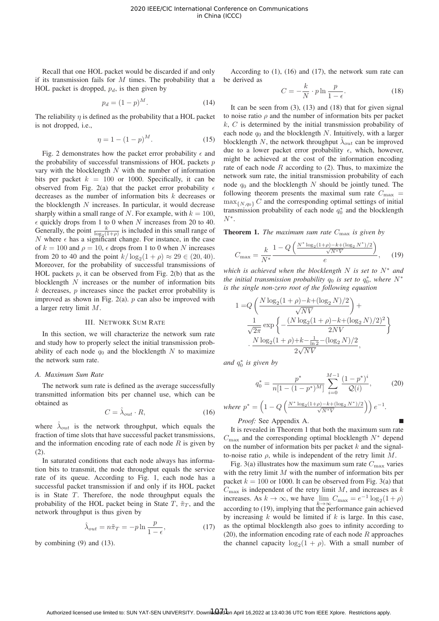Recall that one HOL packet would be discarded if and only if its transmission fails for  $M$  times. The probability that a HOL packet is dropped,  $p_d$ , is then given by

$$
p_d = (1 - p)^M.
$$
 (14)

The reliability  $\eta$  is defined as the probability that a HOL packet is not dropped, i.e.,

$$
\eta = 1 - (1 - p)^M. \tag{15}
$$

Fig. 2 demonstrates how the packet error probability  $\epsilon$  and the probability of successful transmissions of HOL packets  $p$ vary with the blocklength  $N$  with the number of information bits per packet  $k = 100$  or 1000. Specifically, it can be observed from Fig. 2(a) that the packet error probability  $\epsilon$ decreases as the number of information bits  $k$  decreases or the blocklength  $N$  increases. In particular, it would decrease sharply within a small range of N. For example, with  $k = 100$ ,  $\epsilon$  quickly drops from 1 to 0 when N increases from 20 to 40. Generally, the point  $\frac{k}{\log_2(1+\rho)}$  is included in this small range of N where  $\epsilon$  has a significant change. For instance, in the case N where  $\epsilon$  has a significant change. For instance, in the case of  $k = 100$  and  $\rho = 10$ ,  $\epsilon$  drops from 1 to 0 when N increases from 20 to 40 and the point  $k/\log_2(1 + \rho) \approx 29 \in (20, 40)$ . Moreover, for the probability of successful transmissions of HOL packets  $p$ , it can be observed from Fig. 2(b) that as the blocklength  $N$  increases or the number of information bits  $k$  decreases,  $p$  increases since the packet error probability is improved as shown in Fig. 2(a).  $p$  can also be improved with a larger retry limit M.

#### III. NETWORK SUM RATE

In this section, we will characterize the network sum rate and study how to properly select the initial transmission probability of each node  $q_0$  and the blocklength N to maximize the network sum rate.

## *A. Maximum Sum Rate*

The network sum rate is defined as the average successfully transmitted information bits per channel use, which can be obtained as

$$
C = \hat{\lambda}_{out} \cdot R,\tag{16}
$$

where  $\hat{\lambda}_{out}$  is the network throughput, which equals the fraction of time slots that have successful packet transmissions, and the information encoding rate of each node  $R$  is given by (2).

In saturated conditions that each node always has information bits to transmit, the node throughput equals the service rate of its queue. According to Fig. 1, each node has a successful packet transmission if and only if its HOL packet is in State  $T$ . Therefore, the node throughput equals the probability of the HOL packet being in State T,  $\tilde{\pi}_T$ , and the network throughput is thus given by

$$
\hat{\lambda}_{out} = n\tilde{\pi}_T = -p \ln \frac{p}{1 - \epsilon},\tag{17}
$$

by combining (9) and (13).

According to (1), (16) and (17), the network sum rate can be derived as

$$
C = -\frac{k}{N} \cdot p \ln \frac{p}{1 - \epsilon}.
$$
 (18)

It can be seen from  $(3)$ ,  $(13)$  and  $(18)$  that for given signal to noise ratio  $\rho$  and the number of information bits per packet  $k, C$  is determined by the initial transmission probability of each node  $q_0$  and the blocklength N. Intuitively, with a larger blocklength N, the network throughput  $\lambda_{out}$  can be improved due to a lower packet error probability  $\epsilon$ , which, however, might be achieved at the cost of the information encoding rate of each node  $R$  according to (2). Thus, to maximize the network sum rate, the initial transmission probability of each node  $q_0$  and the blocklength N should be jointly tuned. The following theorem presents the maximal sum rate  $C_{\text{max}} =$  $\max_{\{N,q_0\}} C$  and the corresponding optimal settings of initial transmission probability of each node  $q_0^*$  and the blocklength  $N^*$  $N^*$ .

**Theorem 1.** *The maximum sum rate*  $C_{\text{max}}$  *is given by* 

$$
C_{\max} = \frac{k}{N^*} \frac{1 - Q\left(\frac{N^* \log_2(1+\rho) - k + (\log_2 N^*)/2}{\sqrt{N^* V}}\right)}{e},\quad(19)
$$

*which is achieved when the blocklength* N *is set to* N<sup>∗</sup> *and the initial transmission probability*  $q_0$  *is set to*  $q_0^*$ , where  $N^*$ <br>*is the single non zero root of the following equation is the single non-zero root of the following equation*

$$
1 = Q\left(\frac{N\log_2(1+\rho) - k + (\log_2 N)/2}{\sqrt{NV}}\right) + \frac{1}{\sqrt{2\pi}} \exp\left\{-\frac{(N\log_2(1+\rho) - k + (\log_2 N)/2)^2}{2NV}\right\} + \frac{N\log_2(1+\rho) + k - \frac{1}{\ln 2} - (\log_2 N)/2}{2\sqrt{NV}},
$$

*and* q<sup>∗</sup> 0 *is given by*

$$
q_0^* = \frac{p^*}{n[1 - (1 - p^*)^M]} \sum_{i=0}^{M-1} \frac{(1 - p^*)^i}{\mathcal{Q}(i)},\tag{20}
$$

where 
$$
p^* = \left(1 - Q\left(\frac{N^* \log_2(1+\rho) - k + (\log_2 N^*)/2}{\sqrt{N^*V}}\right)\right) e^{-1}.
$$

# *Proof:* See Appendix A.

It is revealed in Theorem 1 that both the maximum sum rate  $C_{\text{max}}$  and the corresponding optimal blocklength  $N^*$  depend on the number of information bits per packet  $k$  and the signalto-noise ratio  $\rho$ , while is independent of the retry limit  $M$ .

Fig. 3(a) illustrates how the maximum sum rate  $C_{\text{max}}$  varies with the retry limit  $M$  with the number of information bits per packet  $k = 100$  or 1000. It can be observed from Fig. 3(a) that  $C_{\text{max}}$  is independent of the retry limit M, and increases as k increases. As  $k \to \infty$ , we have  $\lim_{k \to \infty} C_{\text{max}} = e^{-1} \log_2(1 + \rho)$ according to (19), implying that the performance gain achieved by increasing  $k$  would be limited if  $k$  is large. In this case, as the optimal blocklength also goes to infinity according to (20), the information encoding rate of each node  $R$  approaches the channel capacity  $\log_2(1 + \rho)$ . With a small number of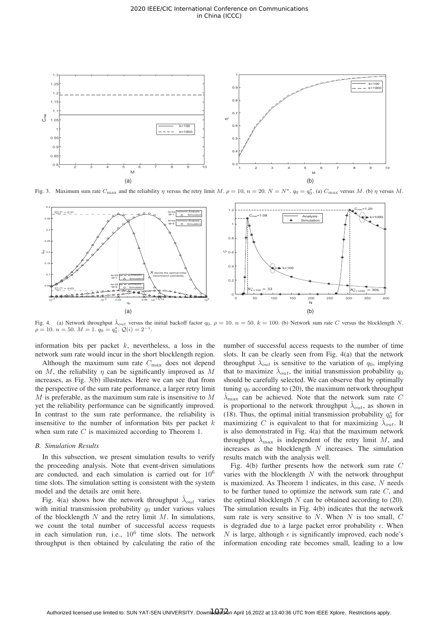

Fig. 3. Maximum sum rate  $C_{\text{max}}$  and the reliability  $\eta$  versus the retry limit  $M$ .  $\rho = 10$ ,  $n = 20$ .  $N = N^*$ .  $q_0 = q_0^*$ . (a)  $C_{\text{max}}$  versus  $M$ . (b)  $\eta$  versus  $M$ .



Fig. 4. (a) Network throughput  $\hat{\lambda}_{out}$  versus the initial backoff factor  $q_0$ ,  $\rho = 10$ ,  $n = 50$ ,  $k = 100$ . (b) Network sum rate C versus the blocklength N.  $\rho = 10. n = 50. M = 1. q_0 = q_0^*. Q(i) = 2^{-i}.$ 

information bits per packet  $k$ , nevertheless, a loss in the network sum rate would incur in the short blocklength region.

Although the maximum sum rate  $C_{\text{max}}$  does not depend on M, the reliability  $\eta$  can be significantly improved as M increases, as Fig. 3(b) illustrates. Here we can see that from the perspective of the sum rate performance, a larger retry limit M is preferable, as the maximum sum rate is insensitive to M yet the reliability performance can be significantly improved. In contrast to the sum rate performance, the reliability is insensitive to the number of information bits per packet  $k$ when sum rate C is maximized according to Theorem 1.

#### *B. Simulation Results*

In this subsection, we present simulation results to verify the proceeding analysis. Note that event-driven simulations are conducted, and each simulation is carried out for 10<sup>6</sup> time slots. The simulation setting is consistent with the system model and the details are omit here.

Fig. 4(a) shows how the network throughput  $\lambda_{out}$  varies with initial transmission probability  $q_0$  under various values of the blocklength  $N$  and the retry limit  $M$ . In simulations, we count the total number of successful access requests in each simulation run, i.e.,  $10^6$  time slots. The network throughput is then obtained by calculating the ratio of the

number of successful access requests to the number of time slots. It can be clearly seen from Fig. 4(a) that the network throughput  $\hat{\lambda}_{out}$  is sensitive to the variation of  $q_0$ , implying that to maximize  $\lambda_{out}$ , the initial transmission probability  $q_0$ should be carefully selected. We can observe that by optimally tuning  $q_0$  according to (20), the maximum network throughput  $\lambda_{\text{max}}$  can be achieved. Note that the network sum rate C is proportional to the network throughput  $\lambda_{out}$ , as shown in (18). Thus, the optimal initial transmission probability  $q_0^*$  for maximizing  $\hat{O}$  is equivalent to that for maximizing  $\hat{O}$  is the maximizing C is equivalent to that for maximizing  $\hat{\lambda}_{out}$ . It is also demonstrated in Fig. 4(a) that the maximum network throughput  $\lambda_{\text{max}}$  is independent of the retry limit M, and increases as the blocklength  $N$  increases. The simulation results match with the analysis well.

Fig. 4(b) further presents how the network sum rate C varies with the blocklength  $N$  with the network throughput is maximized. As Theorem 1 indicates, in this case, N needs to be further tuned to optimize the network sum rate C, and the optimal blocklength  $N$  can be obtained according to  $(20)$ . The simulation results in Fig. 4(b) indicates that the network sum rate is very sensitive to  $N$ . When  $N$  is too small,  $C$ is degraded due to a large packet error probability  $\epsilon$ . When N is large, although  $\epsilon$  is significantly improved, each node's information encoding rate becomes small, leading to a low